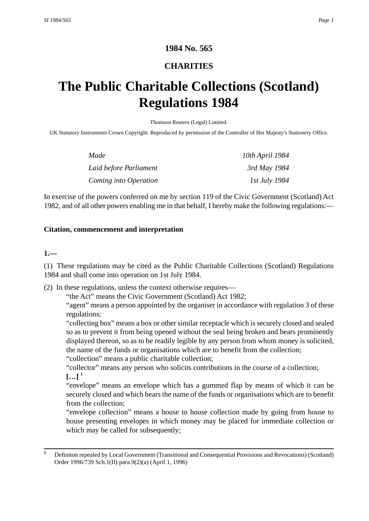# **1984 No. 565**

# **CHARITIES**

# **The Public Charitable Collections (Scotland) Regulations 1984**

Thomson Reuters (Legal) Limited.

UK Statutory Instruments Crown Copyright. Reproduced by permission of the Controller of Her Majesty's Stationery Office.

| Made                   | 10th April 1984      |
|------------------------|----------------------|
| Laid before Parliament | 3rd May 1984         |
| Coming into Operation  | <i>Ist July 1984</i> |

In exercise of the powers conferred on me by section 119 of the Civic Government (Scotland) Act 1982, and of all other powers enabling me in that behalf, I hereby make the following regulations:—

## **Citation, commencement and interpretation**

#### **1.—**

(1) These regulations may be cited as the Public Charitable Collections (Scotland) Regulations 1984 and shall come into operation on 1st July 1984.

(2) In these regulations, unless the context otherwise requires—

"the Act" means the Civic Government (Scotland) Act 1982;

"agent" means a person appointed by the organiser in accordance with regulation 3 of these regulations;

"collecting box" means a box or other similar receptacle which is securely closed and sealed so as to prevent it from being opened without the seal being broken and bears prominently displayed thereon, so as to be readily legible by any person from whom money is solicited, the name of the funds or organisations which are to benefit from the collection;

"collection" means a public charitable collection;

"collector" means any person who solicits contributions in the course of a collection;  $[...]$ <sup>1</sup>

"envelope" means an envelope which has a gummed flap by means of which it can be securely closed and which bears the name of the funds or organisations which are to benefit from the collection;

"envelope collection" means a house to house collection made by going from house to house presenting envelopes in which money may be placed for immediate collection or which may be called for subsequently;

**<sup>1</sup>** Definiton repealed by Local Government (Transitional and Consequential Provisions and Revocations) (Scotland) Order 1996/739 Sch.1(II) para.9(2)(a) (April 1, 1996)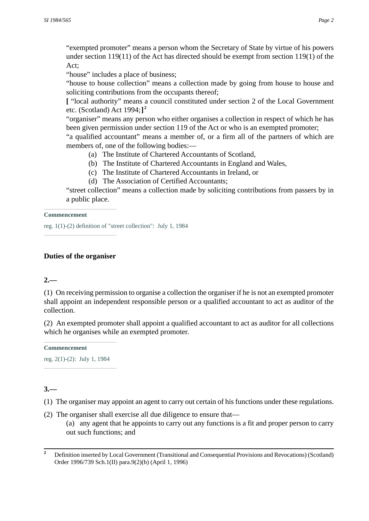"exempted promoter" means a person whom the Secretary of State by virtue of his powers under section 119(11) of the Act has directed should be exempt from section 119(1) of the Act;

"house" includes a place of business;

"house to house collection" means a collection made by going from house to house and soliciting contributions from the occupants thereof;

**[** "local authority" means a council constituted under section 2 of the Local Government etc. (Scotland) Act 1994;**] 2**

"organiser" means any person who either organises a collection in respect of which he has been given permission under section 119 of the Act or who is an exempted promoter;

"a qualified accountant" means a member of, or a firm all of the partners of which are members of, one of the following bodies:—

- (a) The Institute of Chartered Accountants of Scotland,
- (b) The Institute of Chartered Accountants in England and Wales,
- (c) The Institute of Chartered Accountants in Ireland, or
- (d) The Association of Certified Accountants;

"street collection" means a collection made by soliciting contributions from passers by in a public place.

#### **Commencement**

reg. 1(1)-(2) definition of "street collection": July 1, 1984

## **Duties of the organiser**

# **2.—**

(1) On receiving permission to organise a collection the organiser if he is not an exempted promoter shall appoint an independent responsible person or a qualified accountant to act as auditor of the collection.

(2) An exempted promoter shall appoint a qualified accountant to act as auditor for all collections which he organises while an exempted promoter.

#### **Commencement**

reg. 2(1)-(2): July 1, 1984

# **3.—**

(1) The organiser may appoint an agent to carry out certain of his functions under these regulations.

(2) The organiser shall exercise all due diligence to ensure that—

(a) any agent that he appoints to carry out any functions is a fit and proper person to carry out such functions; and

<sup>&</sup>lt;sup>2</sup> Definition inserted by Local Government (Transitional and Consequential Provisions and Revocations) (Scotland) Order 1996/739 Sch.1(II) para.9(2)(b) (April 1, 1996)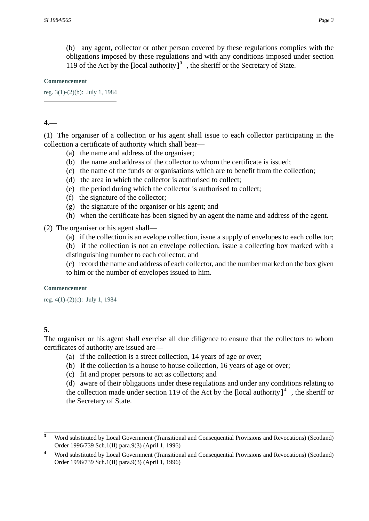(b) any agent, collector or other person covered by these regulations complies with the obligations imposed by these regulations and with any conditions imposed under section 119 of the Act by the **[**local authority**] 3** , the sheriff or the Secretary of State.

#### **Commencement**

reg. 3(1)-(2)(b): July 1, 1984

# **4.—**

(1) The organiser of a collection or his agent shall issue to each collector participating in the collection a certificate of authority which shall bear—

- (a) the name and address of the organiser;
- (b) the name and address of the collector to whom the certificate is issued;
- (c) the name of the funds or organisations which are to benefit from the collection;
- (d) the area in which the collector is authorised to collect;
- (e) the period during which the collector is authorised to collect;
- (f) the signature of the collector;
- (g) the signature of the organiser or his agent; and
- (h) when the certificate has been signed by an agent the name and address of the agent.

## (2) The organiser or his agent shall—

(a) if the collection is an evelope collection, issue a supply of envelopes to each collector;

(b) if the collection is not an envelope collection, issue a collecting box marked with a distinguishing number to each collector; and

(c) record the name and address of each collector, and the number marked on the box given to him or the number of envelopes issued to him.

#### **Commencement**

reg. 4(1)-(2)(c): July 1, 1984

# **5.**

The organiser or his agent shall exercise all due diligence to ensure that the collectors to whom certificates of authority are issued are—

- (a) if the collection is a street collection, 14 years of age or over;
- (b) if the collection is a house to house collection, 16 years of age or over;
- (c) fit and proper persons to act as collectors; and

(d) aware of their obligations under these regulations and under any conditions relating to the collection made under section 119 of the Act by the **[**local authority**] 4** , the sheriff or the Secretary of State.

**<sup>3</sup>** Word substituted by Local Government (Transitional and Consequential Provisions and Revocations) (Scotland) Order 1996/739 Sch.1(II) para.9(3) (April 1, 1996)

**<sup>4</sup>** Word substituted by Local Government (Transitional and Consequential Provisions and Revocations) (Scotland) Order 1996/739 Sch.1(II) para.9(3) (April 1, 1996)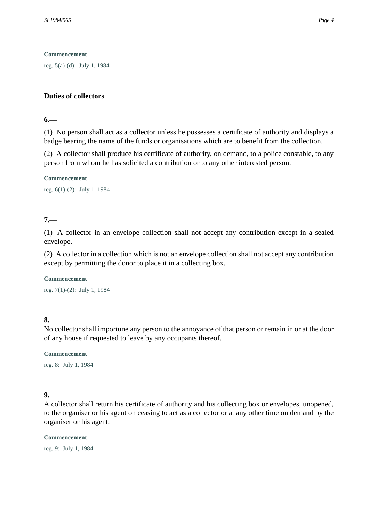**Commencement**

reg. 5(a)-(d): July 1, 1984

## **Duties of collectors**

#### **6.—**

(1) No person shall act as a collector unless he possesses a certificate of authority and displays a badge bearing the name of the funds or organisations which are to benefit from the collection.

(2) A collector shall produce his certificate of authority, on demand, to a police constable, to any person from whom he has solicited a contribution or to any other interested person.

**Commencement**

reg. 6(1)-(2): July 1, 1984

# **7.—**

(1) A collector in an envelope collection shall not accept any contribution except in a sealed envelope.

(2) A collector in a collection which is not an envelope collection shall not accept any contribution except by permitting the donor to place it in a collecting box.

#### **Commencement**

reg. 7(1)-(2): July 1, 1984

**8.** 

No collector shall importune any person to the annoyance of that person or remain in or at the door of any house if requested to leave by any occupants thereof.

**Commencement** reg. 8: July 1, 1984

## **9.**

A collector shall return his certificate of authority and his collecting box or envelopes, unopened, to the organiser or his agent on ceasing to act as a collector or at any other time on demand by the organiser or his agent.

**Commencement**

reg. 9: July 1, 1984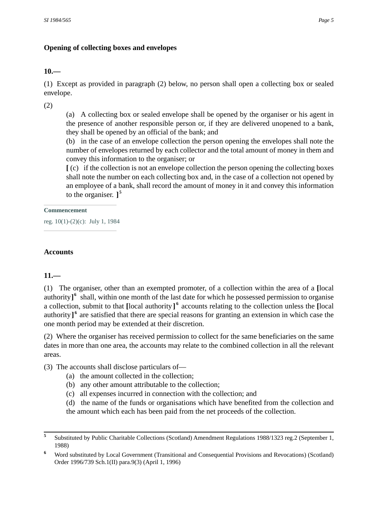# **Opening of collecting boxes and envelopes**

# **10.—**

(1) Except as provided in paragraph (2) below, no person shall open a collecting box or sealed envelope.

(2)

(a) A collecting box or sealed envelope shall be opened by the organiser or his agent in the presence of another responsible person or, if they are delivered unopened to a bank, they shall be opened by an official of the bank; and

(b) in the case of an envelope collection the person opening the envelopes shall note the number of envelopes returned by each collector and the total amount of money in them and convey this information to the organiser; or

**[** (c) if the collection is not an envelope collection the person opening the collecting boxes shall note the number on each collecting box and, in the case of a collection not opened by an employee of a bank, shall record the amount of money in it and convey this information to the organiser. **] 5**

#### **Commencement**

reg. 10(1)-(2)(c): July 1, 1984

# **Accounts**

# **11.—**

(1) The organiser, other than an exempted promoter, of a collection within the area of a **[**local authority<sup>6</sup> shall, within one month of the last date for which he possessed permission to organise a collection, submit to that **[**local authority**] 6** accounts relating to the collection unless the **[**local authority<sup>6</sup> are satisfied that there are special reasons for granting an extension in which case the one month period may be extended at their discretion.

(2) Where the organiser has received permission to collect for the same beneficiaries on the same dates in more than one area, the accounts may relate to the combined collection in all the relevant areas.

- (3) The accounts shall disclose particulars of—
	- (a) the amount collected in the collection;
	- (b) any other amount attributable to the collection;
	- (c) all expenses incurred in connection with the collection; and
	- (d) the name of the funds or organisations which have benefited from the collection and

the amount which each has been paid from the net proceeds of the collection.

**<sup>5</sup>** Substituted by Public Charitable Collections (Scotland) Amendment Regulations 1988/1323 reg.2 (September 1, 1988)

Word substituted by Local Government (Transitional and Consequential Provisions and Revocations) (Scotland) Order 1996/739 Sch.1(II) para.9(3) (April 1, 1996)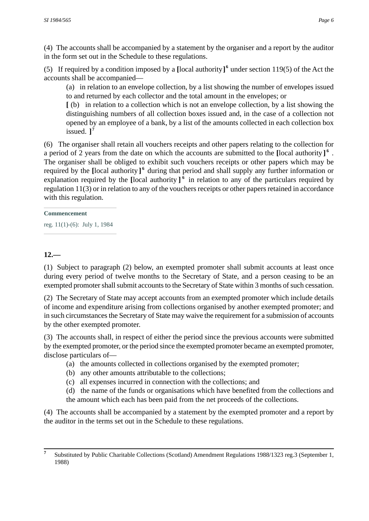(4) The accounts shall be accompanied by a statement by the organiser and a report by the auditor in the form set out in the Schedule to these regulations.

(5) If required by a condition imposed by a [local authority]<sup>6</sup> under section 119(5) of the Act the accounts shall be accompanied—

(a) in relation to an envelope collection, by a list showing the number of envelopes issued to and returned by each collector and the total amount in the envelopes; or

**[** (b) in relation to a collection which is not an envelope collection, by a list showing the distinguishing numbers of all collection boxes issued and, in the case of a collection not opened by an employee of a bank, by a list of the amounts collected in each collection box issued. **] 7**

(6) The organiser shall retain all vouchers receipts and other papers relating to the collection for a period of 2 years from the date on which the accounts are submitted to the **[**local authority**] 6** . The organiser shall be obliged to exhibit such vouchers receipts or other papers which may be required by the [local authority]<sup>6</sup> during that period and shall supply any further information or explanation required by the **[**local authority **] 6** in relation to any of the particulars required by regulation 11(3) or in relation to any of the vouchers receipts or other papers retained in accordance with this regulation.

#### **Commencement**

reg. 11(1)-(6): July 1, 1984

# **12.—**

(1) Subject to paragraph (2) below, an exempted promoter shall submit accounts at least once during every period of twelve months to the Secretary of State, and a person ceasing to be an exempted promoter shall submit accounts to the Secretary of State within 3 months of such cessation.

(2) The Secretary of State may accept accounts from an exempted promoter which include details of income and expenditure arising from collections organised by another exempted promoter; and in such circumstances the Secretary of State may waive the requirement for a submission of accounts by the other exempted promoter.

(3) The accounts shall, in respect of either the period since the previous accounts were submitted by the exempted promoter, or the period since the exempted promoter became an exempted promoter, disclose particulars of—

- (a) the amounts collected in collections organised by the exempted promoter;
- (b) any other amounts attributable to the collections;
- (c) all expenses incurred in connection with the collections; and
- (d) the name of the funds or organisations which have benefited from the collections and
- the amount which each has been paid from the net proceeds of the collections.

(4) The accounts shall be accompanied by a statement by the exempted promoter and a report by the auditor in the terms set out in the Schedule to these regulations.

**<sup>7</sup>** Substituted by Public Charitable Collections (Scotland) Amendment Regulations 1988/1323 reg.3 (September 1, 1988)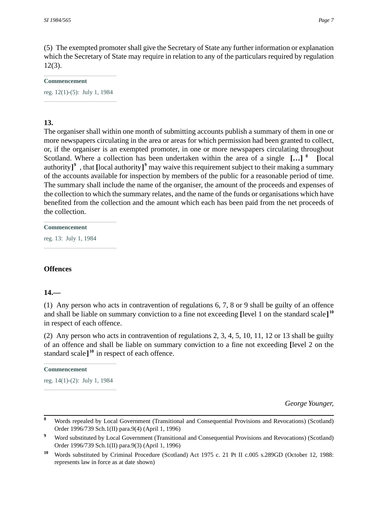(5) The exempted promoter shall give the Secretary of State any further information or explanation which the Secretary of State may require in relation to any of the particulars required by regulation 12(3).

#### **Commencement**

reg. 12(1)-(5): July 1, 1984

# **13.**

The organiser shall within one month of submitting accounts publish a summary of them in one or more newspapers circulating in the area or areas for which permission had been granted to collect, or, if the organiser is an exempted promoter, in one or more newspapers circulating throughout Scotland. Where a collection has been undertaken within the area of a single **[…] <sup>8</sup> [**local authority**] 9** , that **[**local authority**] 9** may waive this requirement subject to their making a summary of the accounts available for inspection by members of the public for a reasonable period of time. The summary shall include the name of the organiser, the amount of the proceeds and expenses of the collection to which the summary relates, and the name of the funds or organisations which have benefited from the collection and the amount which each has been paid from the net proceeds of the collection.

**Commencement**

reg. 13: July 1, 1984

## **Offences**

## **14.—**

(1) Any person who acts in contravention of regulations 6, 7, 8 or 9 shall be guilty of an offence and shall be liable on summary conviction to a fine not exceeding **[**level 1 on the standard scale**] 10** in respect of each offence.

(2) Any person who acts in contravention of regulations 2, 3, 4, 5, 10, 11, 12 or 13 shall be guilty of an offence and shall be liable on summary conviction to a fine not exceeding **[**level 2 on the standard scale**] <sup>10</sup>** in respect of each offence.

#### **Commencement**

reg. 14(1)-(2): July 1, 1984

*George Younger,*

**<sup>8</sup>** Words repealed by Local Government (Transitional and Consequential Provisions and Revocations) (Scotland) Order 1996/739 Sch.1(II) para.9(4) (April 1, 1996)

<sup>&</sup>lt;sup>9</sup> Word substituted by Local Government (Transitional and Consequential Provisions and Revocations) (Scotland) Order 1996/739 Sch.1(II) para.9(3) (April 1, 1996)

**<sup>10</sup>** Words substituted by Criminal Procedure (Scotland) Act 1975 c. 21 Pt II c.005 s.289GD (October 12, 1988: represents law in force as at date shown)